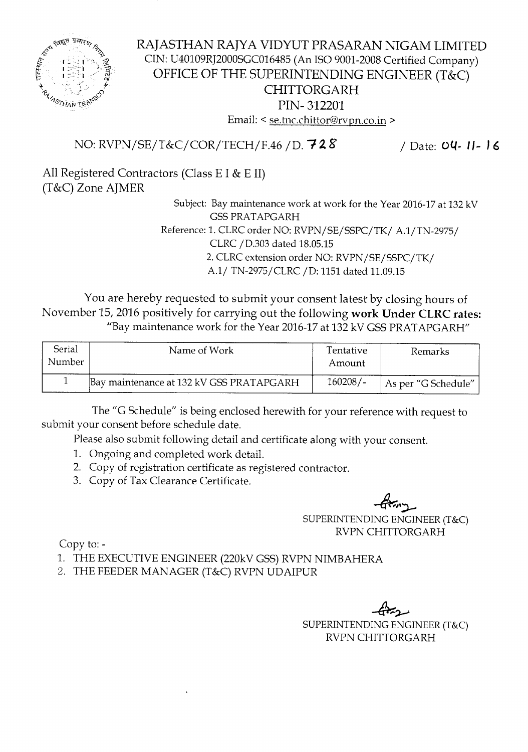

## RAJASTHAN RAJYA VIDYUT PRASARAN NIGAM LIMITED CIN: U40109RJ2000SGC016485 (An ISO 9001-2008 Certified Company) OFFICE OF THE SUPERINTENDING ENGINEER (T&C) CHITTORGARH PIN- 312201 Email: < se.tnc.chittor@rvpn.co.in >

## NO: RVPN/SE/T&C/COR/TECH/F.46 /D. 728 / Date: 04- *1/- <sup>16</sup>*

All Registered Contractors (Class E I & E II) (T&C) Zone AJMER

> Subject: Bay maintenance work at work for the Year 2016-17 at 132 kV GSSPRATAPGARH Reference: 1. CLRC order NO: RVPN/SE/SSPC/TK/ A.l/TN-2975/ CLRC /D.303 dated 18.05.15 2. CLRC extension order NO: RVPN/SE/SSPC/TK/ *A.l/* TN-2975/CLRC /D: 1151 dated 11.09.15

You are hereby requested to submit your consent latest by closing hours of November 15, 2016 positively for carrying out the following work Under CLRC rates: "Bay maintenance work for the Year 2016-17 at 132 kV GSS PRATAPGARH"

| Serial<br>Number | Name of Work                             | Tentative<br>Amount | Remarks             |
|------------------|------------------------------------------|---------------------|---------------------|
|                  | Bay maintenance at 132 kV GSS PRATAPGARH | $160208/-$          | As per "G Schedule" |

The "G Schedule" is being enclosed herewith for your reference with request to submit your consent before schedule date.

Please also submit following detail and certificate along with your consent.

- 1. Ongoing and completed work detail.
- 2. Copy of registration certificate as registered contractor.
- 3. Copy of Tax Clearance Certificate.

**-G\*"** 

SUPERINTENDING ENGINEER (T&C) RVPN CHITTORGARH

Copy to:-

1. THE EXECUTIVE ENGINEER (220kV GSS) RVPN NIMBAHERA

2. THE FEEDER MANAGER (T&C) RVPN UDAIPUR

SUPERINTENDING A ENGINEER (T&C) RVPN CHITTORGARH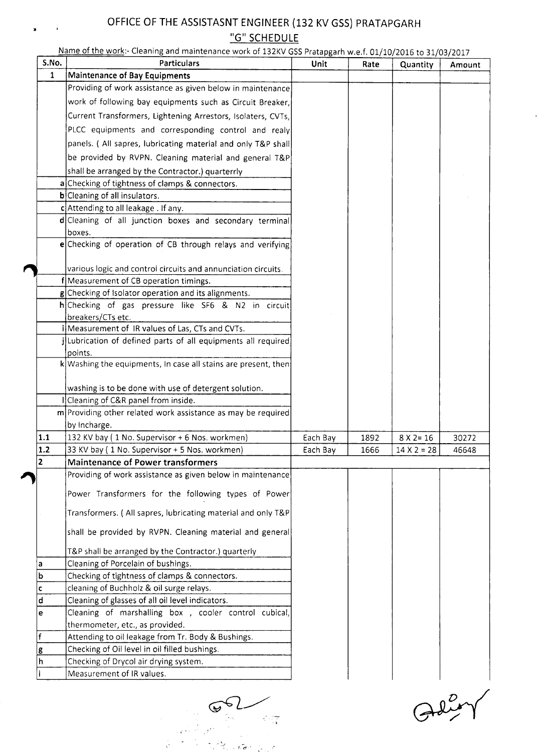## **OFFICE OF THE ASSISTASNT ENGINEER (132 KV GSS) PRATAPGARH "G" SCHEDULE**

 $\rightarrow$ 

 $\mathbf{r}$ 

| S.No.        | Name of the work:- Cleaning and maintenance work of 132KV GSS Pratapgarh w.e.f. 01/10/2016 to 31/03/2017 |          |      |                    |        |
|--------------|----------------------------------------------------------------------------------------------------------|----------|------|--------------------|--------|
| $\mathbf{1}$ | <b>Particulars</b>                                                                                       | Unit     | Rate | <b>Quantity</b>    | Amount |
|              | <b>Maintenance of Bay Equipments</b>                                                                     |          |      |                    |        |
|              | Providing of work assistance as given below in maintenance                                               |          |      |                    |        |
|              | work of following bay equipments such as Circuit Breaker,                                                |          |      |                    |        |
|              | Current Transformers, Lightening Arrestors, Isolaters, CVTs,                                             |          |      |                    |        |
|              | PLCC equipments and corresponding control and realy                                                      |          |      |                    |        |
|              | panels. (All sapres, lubricating material and only T&P shall                                             |          |      |                    |        |
|              | be provided by RVPN. Cleaning material and general T&P                                                   |          |      |                    |        |
|              | shall be arranged by the Contractor.) quarterrly                                                         |          |      |                    |        |
|              | a Checking of tightness of clamps & connectors.                                                          |          |      |                    |        |
|              | $b$ Cleaning of all insulators.                                                                          |          |      |                    |        |
|              | c Attending to all leakage . If any.                                                                     |          |      |                    |        |
|              | d Cleaning of all junction boxes and secondary terminal                                                  |          |      |                    |        |
|              | boxes.                                                                                                   |          |      |                    |        |
|              | e Checking of operation of CB through relays and verifying                                               |          |      |                    |        |
|              |                                                                                                          |          |      |                    |        |
|              | various logic and control circuits and annunciation circuits.                                            |          |      |                    |        |
|              | f Measurement of CB operation timings.                                                                   |          |      |                    |        |
|              | g Checking of Isolator operation and its alignments.                                                     |          |      |                    |        |
|              | h Checking of gas pressure like SF6 & N2 in circuit                                                      |          |      |                    |        |
|              | breakers/CTs etc.                                                                                        |          |      |                    |        |
|              | Measurement of IR values of Las, CTs and CVTs.                                                           |          |      |                    |        |
|              | [Lubrication of defined parts of all equipments all required]                                            |          |      |                    |        |
|              | points.                                                                                                  |          |      |                    |        |
|              | $\mathbf{k}$ Washing the equipments, In case all stains are present, then                                |          |      |                    |        |
|              |                                                                                                          |          |      |                    |        |
|              | washing is to be done with use of detergent solution.                                                    |          |      |                    |        |
|              | Cleaning of C&R panel from inside.                                                                       |          |      |                    |        |
|              | m Providing other related work assistance as may be required                                             |          |      |                    |        |
|              | by Incharge.                                                                                             |          |      |                    |        |
| 1.1<br>1.2   | 132 KV bay (1 No. Supervisor + 6 Nos. workmen)                                                           | Each Bay | 1892 | $8 X 2 = 16$       | 30272  |
| 2            | 33 KV bay (1 No. Supervisor + 5 Nos. workmen)                                                            | Each Bay | 1666 | $14 \times 2 = 28$ | 46648  |
|              | <b>Maintenance of Power transformers</b><br>Providing of work assistance as given below in maintenance   |          |      |                    |        |
|              |                                                                                                          |          |      |                    |        |
|              | Power Transformers for the following types of Power                                                      |          |      |                    |        |
|              | Transformers. (All sapres, lubricating material and only T&P                                             |          |      |                    |        |
|              | shall be provided by RVPN. Cleaning material and general                                                 |          |      |                    |        |
|              |                                                                                                          |          |      |                    |        |
|              | T&P shall be arranged by the Contractor.) quarterly<br>Cleaning of Porcelain of bushings.                |          |      |                    |        |
| a<br>b       | Checking of tightness of clamps & connectors.                                                            |          |      |                    |        |
| c            | cleaning of Buchholz & oil surge relays.                                                                 |          |      |                    |        |
| d            | Cleaning of glasses of all oil level indicators.                                                         |          |      |                    |        |
| e            | Cleaning of marshalling box, cooler control cubical,                                                     |          |      |                    |        |
|              | thermometer, etc., as provided.                                                                          |          |      |                    |        |
| f            | Attending to oil leakage from Tr. Body & Bushings.                                                       |          |      |                    |        |
| g            | Checking of Oil level in oil filled bushings.                                                            |          |      |                    |        |
| h            | Checking of Drycol air drying system.                                                                    |          |      |                    |        |
|              | Measurement of IR values.                                                                                |          |      |                    |        |
|              |                                                                                                          |          |      |                    |        |

 $G6L$  $\mathcal{K}^{\text{op}}(\overline{\Omega})$ 

التقاعي

Adiey